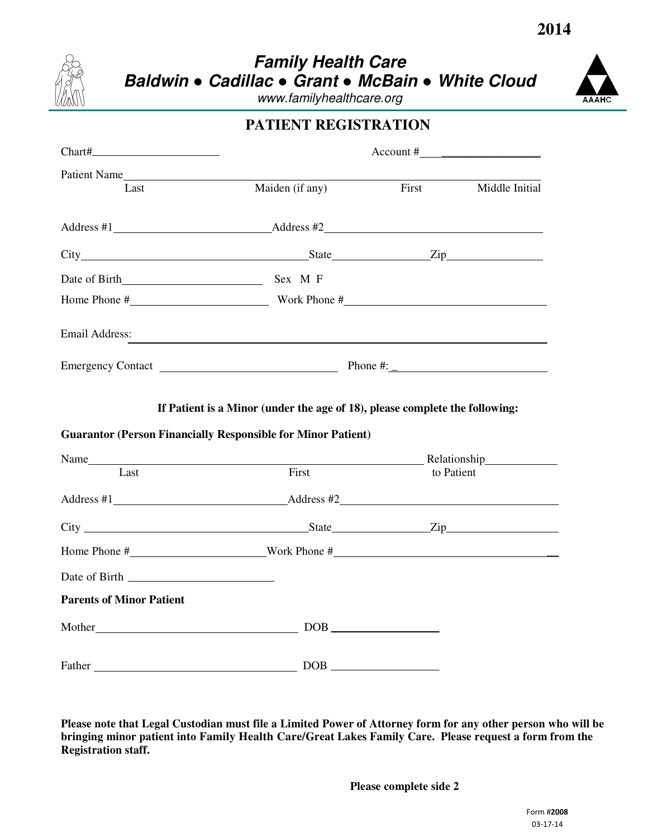

## **Family Health Care Baldwin** ● **Cadillac** ● **Grant** ● **McBain** ● **White Cloud**

www.familyhealthcare.org



|                                 |                                                                     | PATIENT REGISTRATION              |                |  |
|---------------------------------|---------------------------------------------------------------------|-----------------------------------|----------------|--|
|                                 | $\text{Account } \#$                                                |                                   |                |  |
| Patient Name                    |                                                                     | First                             |                |  |
| Last                            | Maiden (if any)                                                     |                                   | Middle Initial |  |
|                                 | Address #1 Address #2                                               |                                   |                |  |
|                                 |                                                                     |                                   |                |  |
|                                 |                                                                     |                                   |                |  |
|                                 |                                                                     |                                   |                |  |
| Email Address:                  | <u> 1989 - Johann Stoff, amerikansk politiker (* 1908)</u>          |                                   |                |  |
|                                 |                                                                     |                                   |                |  |
|                                 | <b>Guarantor (Person Financially Responsible for Minor Patient)</b> |                                   |                |  |
| Last                            | First                                                               |                                   | to Patient     |  |
|                                 |                                                                     |                                   |                |  |
|                                 |                                                                     |                                   |                |  |
|                                 |                                                                     |                                   |                |  |
|                                 | Home Phone $\#$ Work Phone $\#$                                     |                                   |                |  |
|                                 |                                                                     |                                   |                |  |
| <b>Parents of Minor Patient</b> |                                                                     |                                   |                |  |
|                                 |                                                                     |                                   |                |  |
|                                 |                                                                     | $\boxed{\text{DOB}}_{\text{max}}$ |                |  |

Please note that Legal Custodian must file a Limited Power of Attorney form for any other person who will be **bringing minor patient into Family Health Care/Great Lakes Family Care. Please request a form from the Registration staff.**

**Please complete side 2**